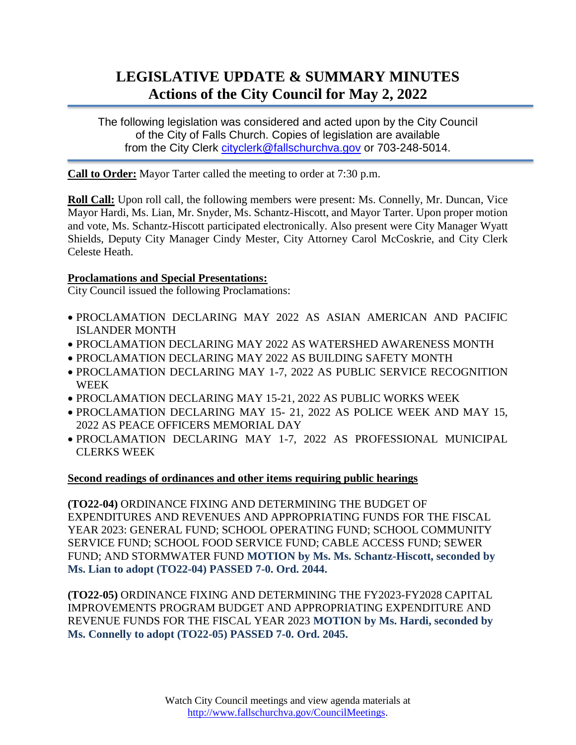## **LEGISLATIVE UPDATE & SUMMARY MINUTES Actions of the City Council for May 2, 2022**

The following legislation was considered and acted upon by the City Council of the City of Falls Church. Copies of legislation are available from the City Clerk [cityclerk@fallschurchva.gov](mailto:cityclerk@fallschurchva.gov) or 703-248-5014.

**Call to Order:** Mayor Tarter called the meeting to order at 7:30 p.m.

**Roll Call:** Upon roll call, the following members were present: Ms. Connelly, Mr. Duncan, Vice Mayor Hardi, Ms. Lian, Mr. Snyder, Ms. Schantz-Hiscott, and Mayor Tarter. Upon proper motion and vote, Ms. Schantz-Hiscott participated electronically. Also present were City Manager Wyatt Shields, Deputy City Manager Cindy Mester, City Attorney Carol McCoskrie, and City Clerk Celeste Heath.

## **Proclamations and Special Presentations:**

City Council issued the following Proclamations:

- PROCLAMATION DECLARING MAY 2022 AS ASIAN AMERICAN AND PACIFIC ISLANDER MONTH
- PROCLAMATION DECLARING MAY 2022 AS WATERSHED AWARENESS MONTH
- PROCLAMATION DECLARING MAY 2022 AS BUILDING SAFETY MONTH
- PROCLAMATION DECLARING MAY 1-7, 2022 AS PUBLIC SERVICE RECOGNITION WEEK
- PROCLAMATION DECLARING MAY 15-21, 2022 AS PUBLIC WORKS WEEK
- PROCLAMATION DECLARING MAY 15- 21, 2022 AS POLICE WEEK AND MAY 15, 2022 AS PEACE OFFICERS MEMORIAL DAY
- PROCLAMATION DECLARING MAY 1-7, 2022 AS PROFESSIONAL MUNICIPAL CLERKS WEEK

## **Second readings of ordinances and other items requiring public hearings**

**(TO22-04)** ORDINANCE FIXING AND DETERMINING THE BUDGET OF EXPENDITURES AND REVENUES AND APPROPRIATING FUNDS FOR THE FISCAL YEAR 2023: GENERAL FUND; SCHOOL OPERATING FUND; SCHOOL COMMUNITY SERVICE FUND; SCHOOL FOOD SERVICE FUND; CABLE ACCESS FUND; SEWER FUND; AND STORMWATER FUND **MOTION by Ms. Ms. Schantz-Hiscott, seconded by Ms. Lian to adopt (TO22-04) PASSED 7-0. Ord. 2044.**

**(TO22-05)** ORDINANCE FIXING AND DETERMINING THE FY2023-FY2028 CAPITAL IMPROVEMENTS PROGRAM BUDGET AND APPROPRIATING EXPENDITURE AND REVENUE FUNDS FOR THE FISCAL YEAR 2023 **MOTION by Ms. Hardi, seconded by Ms. Connelly to adopt (TO22-05) PASSED 7-0. Ord. 2045.**